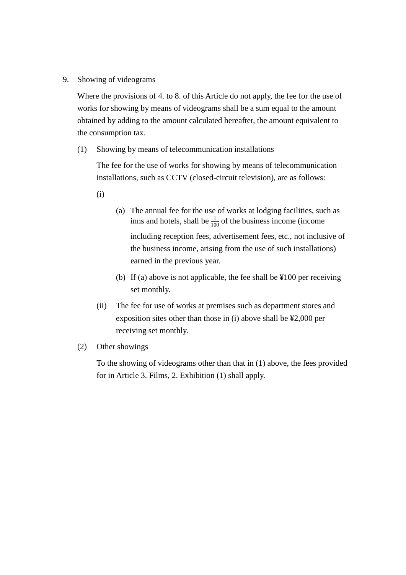9. Showing of videograms

Where the provisions of 4. to 8. of this Article do not apply, the fee for the use of works for showing by means of videograms shall be a sum equal to the amount obtained by adding to the amount calculated hereafter, the amount equivalent to the consumption tax.

(1) Showing by means of telecommunication installations

The fee for the use of works for showing by means of telecommunication installations, such as CCTV (closed-circuit television), are as follows:

- (i)
- (a) The annual fee for the use of works at lodging facilities, such as inns and hotels, shall be  $\frac{1}{100}$  of the business income (income including reception fees, advertisement fees, etc., not inclusive of the business income, arising from the use of such installations) earned in the previous year.
- (b) If (a) above is not applicable, the fee shall be ¥100 per receiving set monthly.
- (ii) The fee for use of works at premises such as department stores and exposition sites other than those in (i) above shall be ¥2,000 per receiving set monthly.
- (2) Other showings

To the showing of videograms other than that in (1) above, the fees provided for in Article 3. Films, 2. Exhibition (1) shall apply.